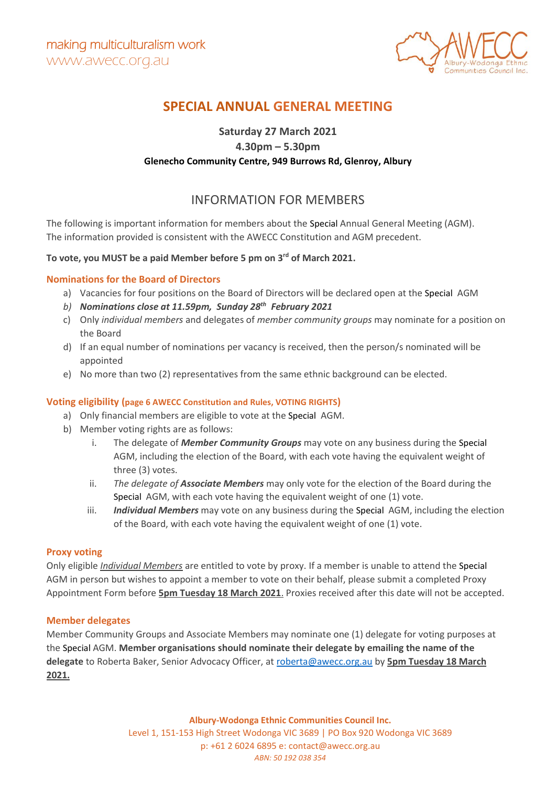

# **SPECIAL ANNUAL GENERAL MEETING**

## **Saturday 27 March 2021 4.30pm – 5.30pm Glenecho Community Centre, 949 Burrows Rd, Glenroy, Albury**

## INFORMATION FOR MEMBERS

The following is important information for members about the Special Annual General Meeting (AGM). The information provided is consistent with the AWECC Constitution and AGM precedent.

### **To vote, you MUST be a paid Member before 5 pm on 3rd of March 2021.**

#### **Nominations for the Board of Directors**

- a) Vacancies for four positions on the Board of Directors will be declared open at the Special AGM
- *b) Nominations close at 11.59pm, Sunday 28 th February 2021*
- c) Only *individual members* and delegates of *member community groups* may nominate for a position on the Board
- d) If an equal number of nominations per vacancy is received, then the person/s nominated will be appointed
- e) No more than two (2) representatives from the same ethnic background can be elected.

#### **Voting eligibility (page 6 AWECC Constitution and Rules, VOTING RIGHTS)**

- a) Only financial members are eligible to vote at the Special AGM.
- b) Member voting rights are as follows:
	- i. The delegate of *Member Community Groups* may vote on any business during the Special AGM, including the election of the Board, with each vote having the equivalent weight of three (3) votes.
	- ii. *The delegate of Associate Members* may only vote for the election of the Board during the Special AGM, with each vote having the equivalent weight of one (1) vote.
	- iii. *Individual Members* may vote on any business during the Special AGM, including the election of the Board, with each vote having the equivalent weight of one (1) vote.

#### **Proxy voting**

Only eligible *Individual Members* are entitled to vote by proxy. If a member is unable to attend the Special AGM in person but wishes to appoint a member to vote on their behalf, please submit a completed Proxy Appointment Form before **5pm Tuesday 18 March 2021**. Proxies received after this date will not be accepted.

#### **Member delegates**

Member Community Groups and Associate Members may nominate one (1) delegate for voting purposes at the Special AGM. **Member organisations should nominate their delegate by emailing the name of the delegate** to Roberta Baker, Senior Advocacy Officer, at [roberta@awecc.org.au](mailto:roberta@awecc.org.au) by **5pm Tuesday 18 March 2021.**